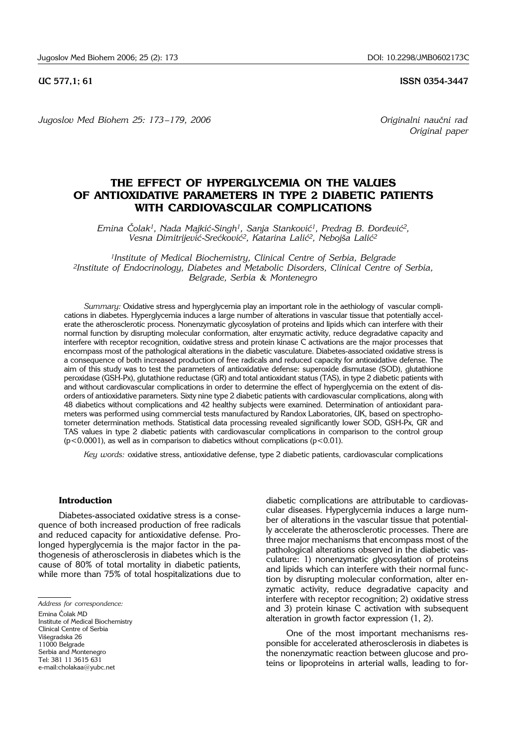**UC 577,1; 61 ISSN 0354-3447** 

*Jugoslov Med Biohem 25: 173–179, 2006 Originalni naučni rad* 

*Original paper*

# **THE EFFECT OF HYPERGLYCEMIA ON THE VALUES OF ANTIOXIDATIVE PARAMETERS IN TYPE 2 DIABETIC PATIENTS WITH CARDIOVASCULAR COMPLICATIONS**

*Emina Čolak<sup>1</sup>, Nada Majkić-Singh<sup>1</sup>, Sanja Stanković<sup>1</sup>, Predrag B. Đorđević<sup>2</sup>, Vesna Dimitrijevi}*-*Sre}kovi}2, Katarina Lali}2, Neboj{a Lali}2*

*1Institute of Medical Biochemistry, Clinical Centre of Serbia, Belgrade 2Institute of Endocrinology, Diabetes and Metabolic Disorders, Clinical Centre of Serbia, Belgrade, Serbia* & *Montenegro*

*Summary:* Oxidative stress and hyperglycemia play an important role in the aethiology of vascular complications in diabetes. Hyperglycemia induces a large number of alterations in vascular tissue that potentially accelerate the atherosclerotic process. Nonenzymatic glycosylation of proteins and lipids which can interfere with their normal function by disrupting molecular conformation, alter enzymatic activity, reduce degradative capacity and interfere with receptor recognition, oxidative stress and protein kinase C activations are the major processes that encompass most of the pathological alterations in the diabetic vasculature. Diabetes-associated oxidative stress is a consequence of both increased production of free radicals and reduced capacity for antioxidative defense. The aim of this study was to test the parameters of antioxidative defense: superoxide dismutase (SOD), glutathione peroxidase (GSH-Px), glutathione reductase (GR) and total antioxidant status (TAS), in type 2 diabetic patients with and without cardiovascular complications in order to determine the effect of hyperglycemia on the extent of disorders of antioxidative parameters. Sixty nine type 2 diabetic patients with cardiovascular complications, along with 48 diabetics without complications and 42 healthy subjects were examined. Determination of antioxidant parameters was performed using commercial tests manufactured by Randox Laboratories, UK, based on spectrophotometer determination methods. Statistical data processing revealed significantly lower SOD, GSH-Px, GR and TAS values in type 2 diabetic patients with cardiovascular complications in comparison to the control group  $(p<0.0001)$ , as well as in comparison to diabetics without complications  $(p<0.01)$ .

*Key words:* oxidative stress, antioxidative defense, type 2 diabetic patients, cardiovascular complications

### **Introduction**

Diabetes-associated oxidative stress is a consequence of both increased production of free radicals and reduced capacity for antioxidative defense. Prolonged hyperglycemia is the major factor in the pathogenesis of atherosclerosis in diabetes which is the cause of 80% of total mortality in diabetic patients, while more than 75% of total hospitalizations due to

Institute of Medical Biochemistry Clinical Centre of Serbia Višegradska 26 11000 Belgrade

Serbia and Montenegro

Tel: 381 11 3615 631

diabetic complications are attributable to cardiovascular diseases. Hyperglycemia induces a large number of alterations in the vascular tissue that potentially accelerate the atherosclerotic processes. There are three major mechanisms that encompass most of the pathological alterations observed in the diabetic vasculature: 1) nonenzymatic glycosylation of proteins and lipids which can interfere with their normal function by disrupting molecular conformation, alter enzymatic activity, reduce degradative capacity and interfere with receptor recognition; 2) oxidative stress and 3) protein kinase C activation with subsequent alteration in growth factor expression (1, 2).

One of the most important mechanisms responsible for accelerated atherosclerosis in diabetes is the nonenzymatic reaction between glucose and proteins or lipoproteins in arterial walls, leading to for-

*Address for correspondence:* 

Emina Čolak MD

e-mail:cholakaa@yubc.net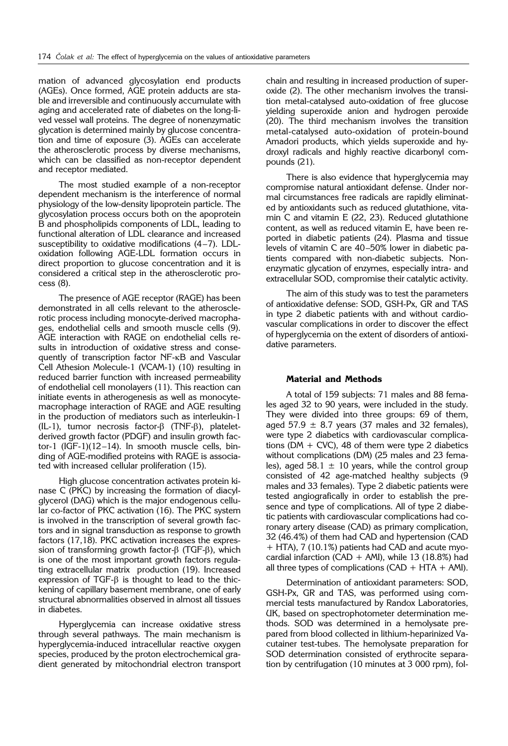mation of advanced glycosylation end products (AGEs). Once formed, AGE protein adducts are stable and irreversible and continuously accumulate with aging and accelerated rate of diabetes on the long-lived vessel wall proteins. The degree of nonenzymatic glycation is determined mainly by glucose concentration and time of exposure (3). AGEs can accelerate the atherosclerotic process by diverse mechanisms, which can be classified as non-receptor dependent and receptor mediated.

The most studied example of a non-receptor dependent mechanism is the interference of normal physiology of the low-density lipoprotein particle. The glycosylation process occurs both on the apoprotein B and phospholipids components of LDL, leading to functional alteration of LDL clearance and increased susceptibility to oxidative modifications (4–7). LDLoxidation following AGE-LDL formation occurs in direct proportion to glucose concentration and it is considered a critical step in the atherosclerotic process (8).

The presence of AGE receptor (RAGE) has been demonstrated in all cells relevant to the atherosclerotic process including monocyte-derived macrophages, endothelial cells and smooth muscle cells (9). AGE interaction with RAGE on endothelial cells results in introduction of oxidative stress and consequently of transcription factor NF-kB and Vascular Cell Athesion Molecule-1 (VCAM-1) (10) resulting in reduced barrier function with increased permeability of endothelial cell monolayers (11). This reaction can initiate events in atherogenesis as well as monocytemacrophage interaction of RAGE and AGE resulting in the production of mediators such as interleukin-1  $(IL-1)$ , tumor necrosis factor- $\beta$  (TNF- $\beta$ ), plateletderived growth factor (PDGF) and insulin growth factor-1 (IGF-1)(12–14). In smooth muscle cells, binding of AGE-modified proteins with RAGE is associated with increased cellular proliferation (15).

High glucose concentration activates protein kinase C (PKC) by increasing the formation of diacylglycerol (DAG) which is the major endogenous cellular co-factor of PKC activation (16). The PKC system is involved in the transcription of several growth factors and in signal transduction as response to growth factors (17,18). PKC activation increases the expression of transforming growth factor- $\beta$  (TGF- $\beta$ ), which is one of the most important growth factors regulating extracellular matrix production (19). Increased expression of TGF- $\beta$  is thought to lead to the thickening of capillary basement membrane, one of early structural abnormalities observed in almost all tissues in diabetes.

Hyperglycemia can increase oxidative stress through several pathways. The main mechanism is hyperglycemia-induced intracellular reactive oxygen species, produced by the proton electrochemical gradient generated by mitochondrial electron transport

chain and resulting in increased production of superoxide (2). The other mechanism involves the transition metal-catalysed auto-oxidation of free glucose yielding superoxide anion and hydrogen peroxide (20). The third mechanism involves the transition metal-catalysed auto-oxidation of protein-bound Amadori products, which yields superoxide and hydroxyl radicals and highly reactive dicarbonyl compounds (21).

There is also evidence that hyperglycemia may compromise natural antioxidant defense. Under normal circumstances free radicals are rapidly eliminated by antioxidants such as reduced glutathione, vitamin C and vitamin E (22, 23). Reduced glutathione content, as well as reduced vitamin E, have been reported in diabetic patients (24). Plasma and tissue levels of vitamin C are 40–50% lower in diabetic patients compared with non-diabetic subjects. Nonenzymatic glycation of enzymes, especially intra- and extracellular SOD, compromise their catalytic activity.

The aim of this study was to test the parameters of antioxidative defense: SOD, GSH-Px, GR and TAS in type 2 diabetic patients with and without cardiovascular complications in order to discover the effect of hyperglycemia on the extent of disorders of antioxidative parameters.

### **Material and Methods**

A total of 159 subjects: 71 males and 88 females aged 32 to 90 years, were included in the study. They were divided into three groups: 69 of them, aged 57.9  $\pm$  8.7 years (37 males and 32 females), were type 2 diabetics with cardiovascular complications (DM  $+$  CVC), 48 of them were type 2 diabetics without complications (DM) (25 males and 23 females), aged 58.1  $\pm$  10 years, while the control group consisted of 42 age-matched healthy subjects (9 males and 33 females). Type 2 diabetic patients were tested angiografically in order to establish the presence and type of complications. All of type 2 diabetic patients with cardiovascular complications had coronary artery disease (CAD) as primary complication, 32 (46.4%) of them had CAD and hypertension (CAD + HTA), 7 (10.1%) patients had CAD and acute myocardial infarction (CAD + AMI), while 13 (18.8%) had all three types of complications ( $CAD + HTA + AMI$ ).

Determination of antioxidant parameters: SOD, GSH-Px, GR and TAS, was performed using commercial tests manufactured by Randox Laboratories, UK, based on spectrophotometer determination methods. SOD was determined in a hemolysate prepared from blood collected in lithium-heparinized Vacutainer test-tubes. The hemolysate preparation for SOD determination consisted of erythrocite separation by centrifugation (10 minutes at 3 000 rpm), fol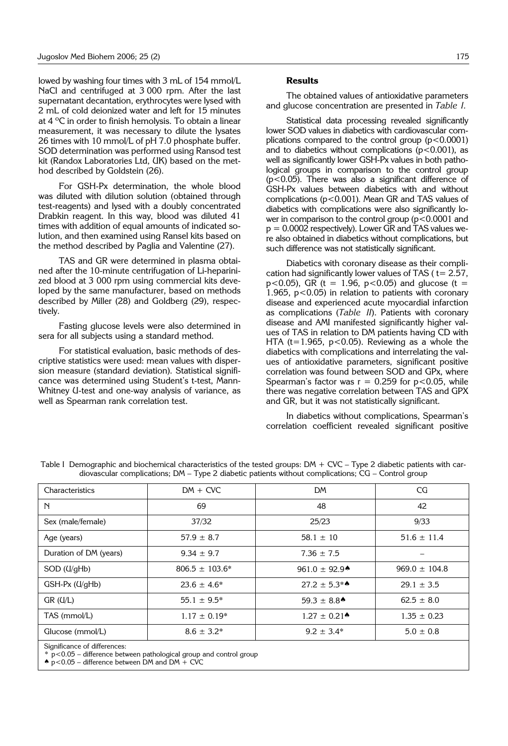lowed by washing four times with 3 mL of 154 mmol/L NaCl and centrifuged at 3 000 rpm. After the last supernatant decantation, erythrocytes were lysed with 2 mL of cold deionized water and left for 15 minutes at 4 ºC in order to finish hemolysis. To obtain a linear measurement, it was necessary to dilute the lysates 26 times with 10 mmol/L of pH 7.0 phosphate buffer. SOD determination was performed using Ransod test kit (Randox Laboratories Ltd, UK) based on the method described by Goldstein (26).

For GSH-Px determination, the whole blood was diluted with dilution solution (obtained through test-reagents) and lysed with a doubly concentrated Drabkin reagent. In this way, blood was diluted 41 times with addition of equal amounts of indicated solution, and then examined using Ransel kits based on the method described by Paglia and Valentine (27).

TAS and GR were determined in plasma obtained after the 10-minute centrifugation of Li-heparinized blood at 3 000 rpm using commercial kits developed by the same manufacturer, based on methods described by Miller (28) and Goldberg (29), respectively.

Fasting glucose levels were also determined in sera for all subjects using a standard method.

For statistical evaluation, basic methods of descriptive statistics were used: mean values with dispersion measure (standard deviation). Statistical significance was determined using Student's t-test, Mann-Whitney U-test and one-way analysis of variance, as well as Spearman rank correlation test.

### **Results**

The obtained values of antioxidative parameters and glucose concentration are presented in *Table I.*

Statistical data processing revealed significantly lower SOD values in diabetics with cardiovascular complications compared to the control group  $(p<0.0001)$ and to diabetics without complications ( $p$ <0.001), as well as significantly lower GSH-Px values in both pathological groups in comparison to the control group (p<0.05). There was also a significant difference of GSH-Px values between diabetics with and without complications (p<0.001). Mean GR and TAS values of diabetics with complications were also significantly lower in comparison to the control group  $(p<0.0001$  and  $p = 0.0002$  respectively). Lower GR and TAS values were also obtained in diabetics without complications, but such difference was not statistically significant.

Diabetics with coronary disease as their complication had significantly lower values of TAS ( $t=2.57$ ,  $p$  < 0.05), GR (t = 1.96,  $p$  < 0.05) and glucose (t = 1.965,  $p < 0.05$ ) in relation to patients with coronary disease and experienced acute myocardial infarction as complications (*Table II*). Patients with coronary disease and AMI manifested significantly higher values of TAS in relation to DM patients having CD with HTA ( $t=1.965$ ,  $p<0.05$ ). Reviewing as a whole the diabetics with complications and interrelating the values of antioxidative parameters, significant positive correlation was found between SOD and GPx, where Spearman's factor was  $r = 0.259$  for  $p < 0.05$ , while there was negative correlation between TAS and GPX and GR, but it was not statistically significant.

In diabetics without complications, Spearman's correlation coefficient revealed significant positive

| Characteristics                                                                                      | $DM + CVC$          | <b>DM</b>                     | CG                |  |  |
|------------------------------------------------------------------------------------------------------|---------------------|-------------------------------|-------------------|--|--|
| $\mathbb N$                                                                                          | 69                  | 48                            | 42                |  |  |
| Sex (male/female)                                                                                    | 37/32               | 25/23                         | 9/33              |  |  |
| Age (years)                                                                                          | $57.9 \pm 8.7$      | $58.1 \pm 10$                 | $51.6 \pm 11.4$   |  |  |
| Duration of DM (years)                                                                               | $9.34 \pm 9.7$      | $7.36 \pm 7.5$                |                   |  |  |
| $SOD$ ( $U\text{/}gHb$ )                                                                             | $806.5 \pm 103.6^*$ | 961.0 $\pm$ 92.9 <sup>*</sup> | $969.0 \pm 104.8$ |  |  |
| $GSH-Px$ ( $U\{gHb}$ )                                                                               | $23.6 \pm 4.6^*$    | $27.2 \pm 5.3$ **             | $29.1 \pm 3.5$    |  |  |
| GR (U/L)                                                                                             | $55.1 \pm 9.5^*$    | $59.3 \pm 8.8$ <sup>*</sup>   | $62.5 \pm 8.0$    |  |  |
| TAS (mmol/L)                                                                                         | $1.17 \pm 0.19*$    | $1.27 \pm 0.21$ <sup>*</sup>  | $1.35 \pm 0.23$   |  |  |
| Glucose (mmol/L)                                                                                     | $8.6 \pm 3.2^*$     | $9.2 \pm 3.4^*$               | $5.0 \pm 0.8$     |  |  |
| Significance of differences:<br>$*$ p<0.05 – difference between pathological group and control group |                     |                               |                   |  |  |

Table I Demographic and biochemical characteristics of the tested groups: DM + CVC – Type 2 diabetic patients with cardiovascular complications; DM – Type 2 diabetic patients without complications; CG – Control group

 $\spadesuit$  p<0.05 – difference between DM and DM + CVC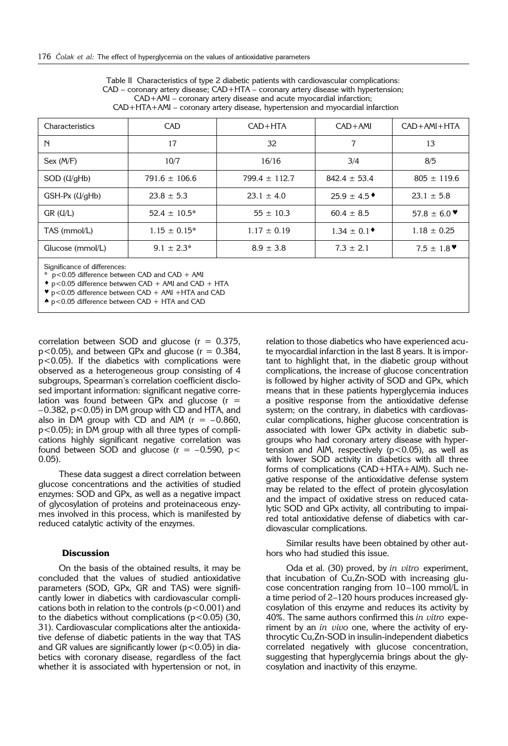Table II Characteristics of type 2 diabetic patients with cardiovascular complications:  $CAD$  – coronary artery disease;  $CAD$ +HTA – coronary artery disease with hypertension; CAD+AMI – coronary artery disease and acute myocardial infarction; CAD+HTA+AMI – coronary artery disease, hypertension and myocardial infarction

| Characteristics                                                                                                                              | <b>CAD</b>        | $CAD+HTA$         | $CAD+AMI$                | $CAD + AMI + HTA$                   |  |  |
|----------------------------------------------------------------------------------------------------------------------------------------------|-------------------|-------------------|--------------------------|-------------------------------------|--|--|
| N                                                                                                                                            | 17                | 32                | 7                        | 13                                  |  |  |
| Sex (M/F)                                                                                                                                    | 10/7              | 16/16             | 3/4                      | 8/5                                 |  |  |
| SOD (U/gHb)                                                                                                                                  | $791.6 \pm 106.6$ | $799.4 \pm 112.7$ | $842.4 \pm 53.4$         | $805 \pm 119.6$                     |  |  |
| $GSH-Px$ ( $U\llap{/}gHb$ )                                                                                                                  | $23.8 \pm 5.3$    | $23.1 \pm 4.0$    | $25.9 \pm 4.5$           | $23.1 \pm 5.8$                      |  |  |
| GR (U/L)                                                                                                                                     | $52.4 \pm 10.5^*$ | $55 \pm 10.3$     | $60.4 \pm 8.5$           | 57.8 $\pm$ 6.0 $\blacktriangledown$ |  |  |
| TAS (mmol/L)                                                                                                                                 | $1.15 \pm 0.15^*$ | $1.17 \pm 0.19$   | $1.34 \pm 0.1^{\bullet}$ | $1.18 \pm 0.25$                     |  |  |
| Glucose (mmol/L)                                                                                                                             | $9.1 \pm 2.3^*$   | $8.9 \pm 3.8$     | $7.3 \pm 2.1$            | $7.5 \pm 1.8$ $\blacktriangledown$  |  |  |
| Significance of differences:<br>* p<0.05 difference between CAD and CAD + AMI<br>$\bullet$ p<0.05 difference betwwen CAD + AMI and CAD + HTA |                   |                   |                          |                                     |  |  |

 $p$ <0.05 difference between CAD + AMI +HTA and CAD

 $\bullet$  p<0.05 difference between CAD + HTA and CAD

correlation between SOD and glucose  $(r = 0.375,$  $p$ <0.05), and between GPx and glucose ( $r = 0.384$ , p<0.05). If the diabetics with complications were observed as a heterogeneous group consisting of 4 subgroups, Spearman's correlation coefficient disclosed important information: significant negative correlation was found between GPx and glucose  $(r =$ –0.382, p<0.05) in DM group with CD and HTA, and also in DM group with CD and AIM  $(r = -0.860)$ . p<0.05); in DM group with all three types of complications highly significant negative correlation was found between SOD and glucose  $(r = -0.590, p <$ 0.05).

These data suggest a direct correlation between glucose concentrations and the activities of studied enzymes: SOD and GPx, as well as a negative impact of glycosylation of proteins and proteinaceous enzymes involved in this process, which is manifested by reduced catalytic activity of the enzymes.

#### **Discussion**

On the basis of the obtained results, it may be concluded that the values of studied antioxidative parameters (SOD, GPx, GR and TAS) were significantly lower in diabetics with cardiovascular complications both in relation to the controls  $(p<0.001)$  and to the diabetics without complications  $(p<0.05)$  (30, 31). Cardiovascular complications alter the antioxidative defense of diabetic patients in the way that TAS and GR values are significantly lower ( $p$ <0.05) in diabetics with coronary disease, regardless of the fact whether it is associated with hypertension or not, in relation to those diabetics who have experienced acute myocardial infarction in the last 8 years. It is important to highlight that, in the diabetic group without complications, the increase of glucose concentration is followed by higher activity of SOD and GPx, which means that in these patients hyperglycemia induces a positive response from the antioxidative defense system; on the contrary, in diabetics with cardiovascular complications, higher glucose concentration is associated with lower GPx activity in diabetic subgroups who had coronary artery disease with hypertension and AIM, respectively  $(p<0.05)$ , as well as with lower SOD activity in diabetics with all three forms of complications (CAD+HTA+AIM). Such negative response of the antioxidative defense system may be related to the effect of protein glycosylation and the impact of oxidative stress on reduced catalytic SOD and GPx activity, all contributing to impaired total antioxidative defense of diabetics with cardiovascular complications.

Similar results have been obtained by other authors who had studied this issue.

Oda et al. (30) proved, by *in vitro* experiment, that incubation of Cu,Zn-SOD with increasing glucose concentration ranging from 10–100 mmol/L in a time period of 2–120 hours produces increased glycosylation of this enzyme and reduces its activity by 40%. The same authors confirmed this *in vitro* experiment by an *in vivo* one, where the activity of erythrocytic Cu,Zn-SOD in insulin-independent diabetics correlated negatively with glucose concentration, suggesting that hyperglycemia brings about the glycosylation and inactivity of this enzyme.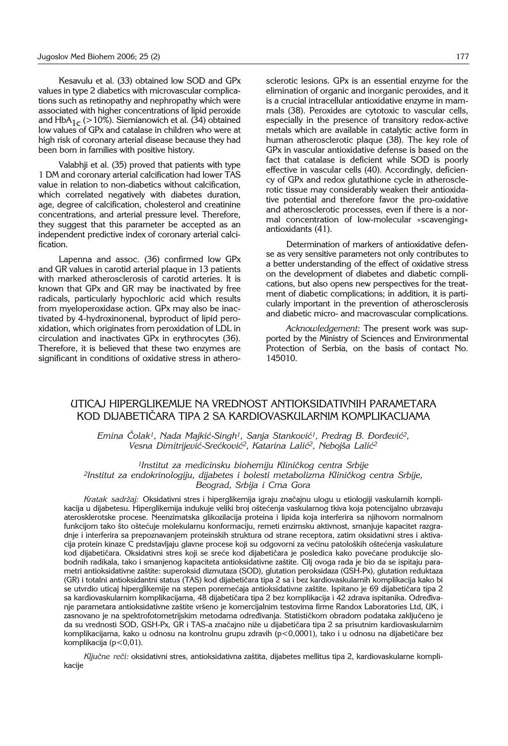Kesavulu et al. (33) obtained low SOD and GPx values in type 2 diabetics with microvascular complications such as retinopathy and nephropathy which were associated with higher concentrations of lipid peroxide and HbA<sub>1c</sub> (>10%). Siemianowich et al. (34) obtained low values of GPx and catalase in children who were at high risk of coronary arterial disease because they had been born in families with positive history.

Valabhji et al. (35) proved that patients with type 1 DM and coronary arterial calcification had lower TAS value in relation to non-diabetics without calcification, which correlated negatively with diabetes duration, age, degree of calcification, cholesterol and creatinine concentrations, and arterial pressure level. Therefore, they suggest that this parameter be accepted as an independent predictive index of coronary arterial calcification.

Lapenna and assoc. (36) confirmed low GPx and GR values in carotid arterial plaque in 13 patients with marked atherosclerosis of carotid arteries. It is known that GPx and GR may be inactivated by free radicals, particularly hypochloric acid which results from myeloperoxidase action. GPx may also be inactivated by 4-hydroxinonenal, byproduct of lipid peroxidation, which originates from peroxidation of LDL in circulation and inactivates GPx in erythrocytes (36). Therefore, it is believed that these two enzymes are significant in conditions of oxidative stress in atherosclerotic lesions. GPx is an essential enzyme for the elimination of organic and inorganic peroxides, and it is a crucial intracellular antioxidative enzyme in mammals (38). Peroxides are cytotoxic to vascular cells, especially in the presence of transitory redox-active metals which are available in catalytic active form in human atherosclerotic plaque (38). The key role of GPx in vascular antioxidative defense is based on the fact that catalase is deficient while SOD is poorly effective in vascular cells (40). Accordingly, deficiency of GPx and redox glutathione cycle in atherosclerotic tissue may considerably weaken their antioxidative potential and therefore favor the pro-oxidative and atherosclerotic processes, even if there is a normal concentration of low-molecular »scavenging« antioxidants (41).

Determination of markers of antioxidative defense as very sensitive parameters not only contributes to a better understanding of the effect of oxidative stress on the development of diabetes and diabetic complications, but also opens new perspectives for the treatment of diabetic complications; in addition, it is particularly important in the prevention of atherosclerosis and diabetic micro- and macrovascular complications.

*Acknowledgement*: The present work was supported by the Ministry of Sciences and Environmental Protection of Serbia, on the basis of contact No. 145010.

## UTICAJ HIPERGLIKEMIJE NA VREDNOST ANTIOKSIDATIVNIH PARAMETARA KOD DIJABETIČARA TIPA 2 SA KARDIOVASKULARNIM KOMPLIKACIJAMA

*Emina Čolak<sup>1</sup>, Nada Majkić-Singh<sup>1</sup>, Sanja Stanković<sup>1</sup>, Predrag B. Đorđević<sup>2</sup>,* Vesna Dimitrijević-Srećković<sup>2</sup>, Katarina Lalić<sup>2</sup>, Nebojša Lalić<sup>2</sup>

<sup>1</sup>Institut za medicinsku biohemiju Kliničkog centra Srbije

*2Institut za endokrinologiju, dijabetes i bolesti metabolizma Klini~kog centra Srbije, Beograd, Srbija i Crna Gora*

Kratak sadržaj: Oksidativni stres i hiperglikemija igraju značajnu ulogu u etiologiji vaskularnih komplikacija u dijabetesu. Hiperglikemija indukuje veliki broj oštećenja vaskularnog tkiva koja potencijalno ubrzavaju aterosklerotske procese. Neenzimatska glikozilacija proteina i lipida koja interferira sa njihovom normalnom funkcijom tako što oštećuje molekularnu konformaciju, remeti enzimsku aktivnost, smanjuje kapacitet razgradnje i interferira sa prepoznavanjem proteinskih struktura od strane receptora, zatim oksidativni stres i aktivacija protein kinaze C predstavljaju glavne procese koji su odgovorni za većinu patoloških oštećenja vaskulature kod dijabetičara. Oksidativni stres koji se sreće kod dijabetičara je posledica kako povećane produkcije slobodnih radikala, tako i smanjenog kapaciteta antioksidativne zaštite. Cilj ovoga rada je bio da se ispitaju parametri antioksidativne zaštite: superoksid dizmutaza (SOD), glutation peroksidaza (GSH-Px), glutation reduktaza (GR) i totalni antioksidantni status (TAS) kod dijabetičara tipa 2 sa i bez kardiovaskularnih komplikacija kako bi se utvrdio uticaj hiperglikemije na stepen poremećaja antioksidativne zaštite. Ispitano je 69 dijabetičara tipa 2 sa kardiovaskularnim komplikacijama, 48 dijabetičara tipa 2 bez komplikacija i 42 zdrava ispitanika. Određivanje parametara antioksidativne zaštite vršeno je komercijalnim testovima firme Randox Laboratories Ltd, UK, i zasnovano je na spektrofotometrijskim metodama određivanja. Statističkom obradom podataka zaključeno je da su vrednosti SOD, GSH-Px, GR i TAS-a značajno niže u dijabetičara tipa 2 sa prisutnim kardiovaskularnim komplikacijama, kako u odnosu na kontrolnu grupu zdravih (p<0,0001), tako i u odnosu na dijabetičare bez komplikacija (p<0,01).

*Ključne reči:* oksidativni stres, antioksidativna zaštita, dijabetes mellitus tipa 2, kardiovaskularne komplikacije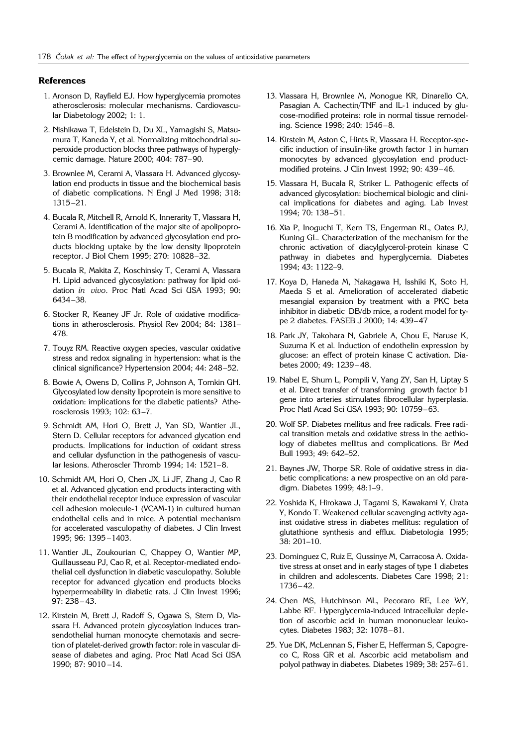#### **References**

- 1. Aronson D, Rayfield EJ. How hyperglycemia promotes atherosclerosis: molecular mechanisms. Cardiovascular Diabetology 2002; 1: 1.
- 2. Nishikawa T, Edelstein D, Du XL, Yamagishi S, Matsumura T, Kaneda Y, et al. Normalizing mitochondrial superoxide production blocks three pathways of hyperglycemic damage. Nature 2000; 404: 787–90.
- 3. Brownlee M, Cerami A, Vlassara H. Advanced glycosylation end products in tissue and the biochemical basis of diabetic complications. N Engl J Med 1998; 318: 1315–21.
- 4. Bucala R, Mitchell R, Arnold K, Innerarity T, Vlassara H, Cerami A. Identification of the major site of apolipoprotein B modification by advanced glycosylation end products blocking uptake by the low density lipoprotein receptor. J Biol Chem 1995; 270: 10828–32.
- 5. Bucala R, Makita Z, Koschinsky T, Cerami A, Vlassara H. Lipid advanced glycosylation: pathway for lipid oxidation *in vivo*. Proc Natl Acad Sci USA 1993; 90: 6434–38.
- 6. Stocker R, Keaney JF Jr. Role of oxidative modifications in atherosclerosis. Physiol Rev 2004; 84: 1381– 478.
- 7. Touyz RM. Reactive oxygen species, vascular oxidative stress and redox signaling in hypertension: what is the clinical significance? Hypertension 2004; 44: 248–52.
- 8. Bowie A, Owens D, Collins P, Johnson A, Tomkin GH. Glycosylated low density lipoprotein is more sensitive to oxidation: implications for the diabetic patients? Atherosclerosis 1993; 102: 63–7.
- 9. Schmidt AM, Hori O, Brett J, Yan SD, Wantier JL, Stern D. Cellular receptors for advanced glycation end products. Implications for induction of oxidant stress and cellular dysfunction in the pathogenesis of vascular lesions. Atheroscler Thromb 1994; 14: 1521–8.
- 10. Schmidt AM, Hori O, Chen JX, Li JF, Zhang J, Cao R et al. Advanced glycation end products interacting with their endothelial receptor induce expression of vascular cell adhesion molecule-1 (VCAM-1) in cultured human endothelial cells and in mice. A potential mechanism for accelerated vasculopathy of diabetes. J Clin Invest 1995; 96: 1395 –1403.
- 11. Wantier JL, Zoukourian C, Chappey O, Wantier MP, Guillausseau PJ, Cao R, et al. Receptor-mediated endothelial cell dysfunction in diabetic vasculopathy. Soluble receptor for advanced glycation end products blocks hyperpermeability in diabetic rats. J Clin Invest 1996; 97: 238 – 43.
- 12. Kirstein M, Brett J, Radoff S, Ogawa S, Stern D, Vlassara H. Advanced protein glycosylation induces transendothelial human monocyte chemotaxis and secretion of platelet-derived growth factor: role in vascular disease of diabetes and aging. Proc Natl Acad Sci USA 1990; 87: 9010 –14.
- 13. Vlassara H, Brownlee M, Monogue KR, Dinarello CA, Pasagian A. Cachectin/TNF and IL-1 induced by glucose-modified proteins: role in normal tissue remodeling. Science 1998; 240: 1546–8.
- 14. Kirstein M, Aston C, Hints R, Vlassara H. Receptor-specific induction of insulin-like growth factor 1 in human monocytes by advanced glycosylation end productmodified proteins. J Clin Invest 1992; 90: 439–46.
- 15. Vlassara H, Bucala R, Striker L. Pathogenic effects of advanced glycosylation: biochemical biologic and clinical implications for diabetes and aging. Lab Invest 1994; 70: 138–51.
- 16. Xia P, Inoguchi T, Kern TS, Engerman RL, Oates PJ, Kuning GL. Characterization of the mechanism for the chronic activation of diacylglycerol-protein kinase C pathway in diabetes and hyperglycemia. Diabetes 1994; 43: 1122–9.
- 17. Koya D, Haneda M, Nakagawa H, Isshiki K, Soto H, Maeda S et al. Amelioration of accelerated diabetic mesangial expansion by treatment with a PKC beta inhibitor in diabetic DB/db mice, a rodent model for type 2 diabetes. FASEB J 2000; 14: 439–47
- 18. Park JY, Takohara N, Gabriele A, Chou E, Naruse K, Suzuma K et al. Induction of endothelin expression by glucose: an effect of protein kinase C activation. Diabetes 2000; 49: 1239– 48.
- 19. Nabel E, Shum L, Pompili V, Yang ZY, San H, Liptay S et al. Direct transfer of transforming growth factor b1 gene into arteries stimulates fibrocellular hyperplasia. Proc Natl Acad Sci USA 1993; 90: 10759–63.
- 20. Wolf SP. Diabetes mellitus and free radicals. Free radical transition metals and oxidative stress in the aethiology of diabetes mellitus and complications. Br Med Bull 1993; 49: 642–52.
- 21. Baynes JW, Thorpe SR. Role of oxidative stress in diabetic complications: a new prospective on an old paradigm. Diabetes 1999; 48:1–9.
- 22. Yoshida K, Hirokawa J, Tagami S, Kawakami Y, Urata Y, Kondo T. Weakened cellular scavenging activity against oxidative stress in diabetes mellitus: regulation of glutathione synthesis and efflux. Diabetologia 1995; 38: 201–10.
- 23. Dominguez C, Ruiz E, Gussinye M, Carracosa A. Oxidative stress at onset and in early stages of type 1 diabetes in children and adolescents. Diabetes Care 1998; 21: 1736– 42.
- 24. Chen MS, Hutchinson ML, Pecoraro RE, Lee WY, Labbe RF. Hyperglycemia-induced intracellular depletion of ascorbic acid in human mononuclear leukocytes. Diabetes 1983; 32: 1078–81.
- 25. Yue DK, McLennan S, Fisher E, Hefferman S, Capogreco C, Ross GR et al. Ascorbic acid metabolism and polyol pathway in diabetes. Diabetes 1989; 38: 257–61.